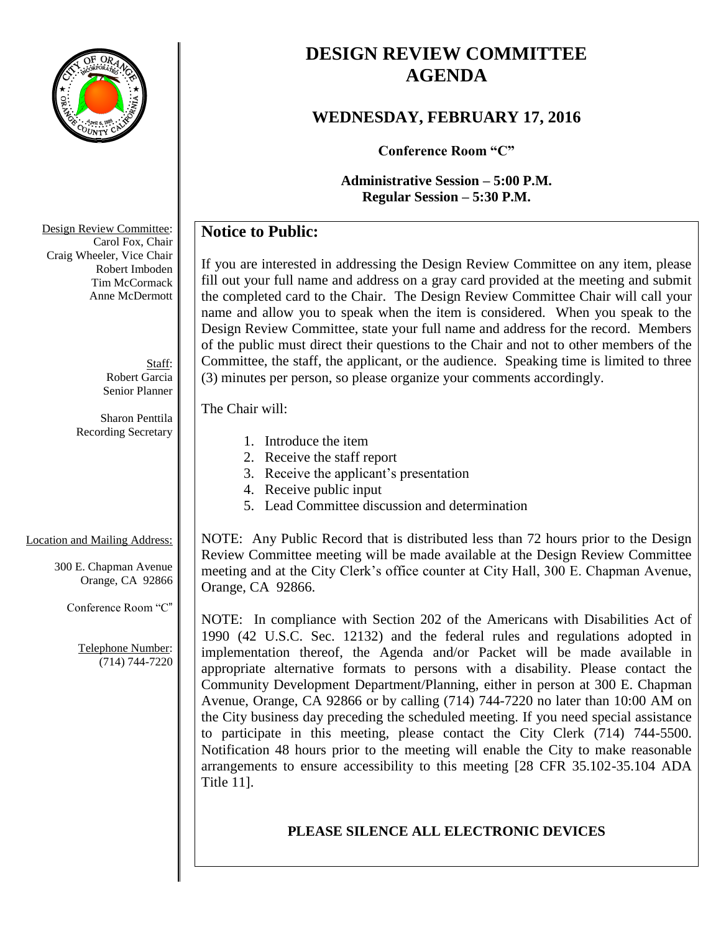

# **DESIGN REVIEW COMMITTEE AGENDA**

# **WEDNESDAY, FEBRUARY 17, 2016**

**Conference Room "C"**

**Administrative Session – 5:00 P.M. Regular Session – 5:30 P.M.**

# **Notice to Public:**

If you are interested in addressing the Design Review Committee on any item, please fill out your full name and address on a gray card provided at the meeting and submit the completed card to the Chair. The Design Review Committee Chair will call your name and allow you to speak when the item is considered. When you speak to the Design Review Committee, state your full name and address for the record. Members of the public must direct their questions to the Chair and not to other members of the Committee, the staff, the applicant, or the audience. Speaking time is limited to three (3) minutes per person, so please organize your comments accordingly.

### The Chair will:

- 1. Introduce the item
- 2. Receive the staff report
- 3. Receive the applicant's presentation
- 4. Receive public input
- 5. Lead Committee discussion and determination

#### Location and Mailing Address:

300 E. Chapman Avenue Orange, CA 92866

Conference Room "C"

Telephone Number: (714) 744-7220 NOTE: Any Public Record that is distributed less than 72 hours prior to the Design Review Committee meeting will be made available at the Design Review Committee meeting and at the City Clerk's office counter at City Hall, 300 E. Chapman Avenue, Orange, CA 92866.

NOTE: In compliance with Section 202 of the Americans with Disabilities Act of 1990 (42 U.S.C. Sec. 12132) and the federal rules and regulations adopted in implementation thereof, the Agenda and/or Packet will be made available in appropriate alternative formats to persons with a disability. Please contact the Community Development Department/Planning, either in person at 300 E. Chapman Avenue, Orange, CA 92866 or by calling (714) 744-7220 no later than 10:00 AM on the City business day preceding the scheduled meeting. If you need special assistance to participate in this meeting, please contact the City Clerk (714) 744-5500. Notification 48 hours prior to the meeting will enable the City to make reasonable arrangements to ensure accessibility to this meeting [28 CFR 35.102-35.104 ADA Title 11].

# **PLEASE SILENCE ALL ELECTRONIC DEVICES**

Design Review Committee: Carol Fox, Chair Craig Wheeler, Vice Chair Robert Imboden Tim McCormack Anne McDermott

> Staff: Robert Garcia Senior Planner

Sharon Penttila Recording Secretary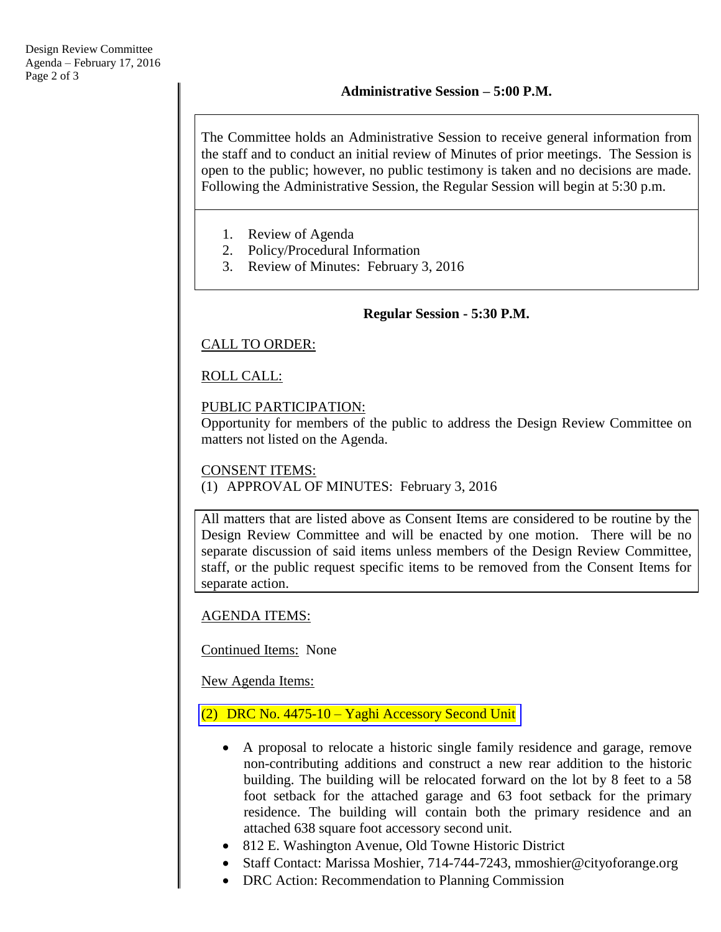The Committee holds an Administrative Session to receive general information from the staff and to conduct an initial review of Minutes of prior meetings. The Session is open to the public; however, no public testimony is taken and no decisions are made. Following the Administrative Session, the Regular Session will begin at 5:30 p.m.

- 1. Review of Agenda
- 2. Policy/Procedural Information
- 3. Review of Minutes: February 3, 2016

### **Regular Session - 5:30 P.M.**

### CALL TO ORDER:

# ROLL CALL:

### PUBLIC PARTICIPATION:

Opportunity for members of the public to address the Design Review Committee on matters not listed on the Agenda.

#### CONSENT ITEMS:

(1) APPROVAL OF MINUTES: February 3, 2016

All matters that are listed above as Consent Items are considered to be routine by the Design Review Committee and will be enacted by one motion. There will be no separate discussion of said items unless members of the Design Review Committee, staff, or the public request specific items to be removed from the Consent Items for separate action.

# AGENDA ITEMS:

Continued Items: None

New Agenda Items:

# (2) DRC No. 4475-10 – [Yaghi Accessory Second Unit](http://www.cityoforange.org/civicax/filebank/blobdload.aspx?BlobID=17392)

- A proposal to relocate a historic single family residence and garage, remove non-contributing additions and construct a new rear addition to the historic building. The building will be relocated forward on the lot by 8 feet to a 58 foot setback for the attached garage and 63 foot setback for the primary residence. The building will contain both the primary residence and an attached 638 square foot accessory second unit.
- 812 E. Washington Avenue, Old Towne Historic District
- Staff Contact: Marissa Moshier, 714-744-7243, mmoshier@cityoforange.org
- DRC Action: Recommendation to Planning Commission